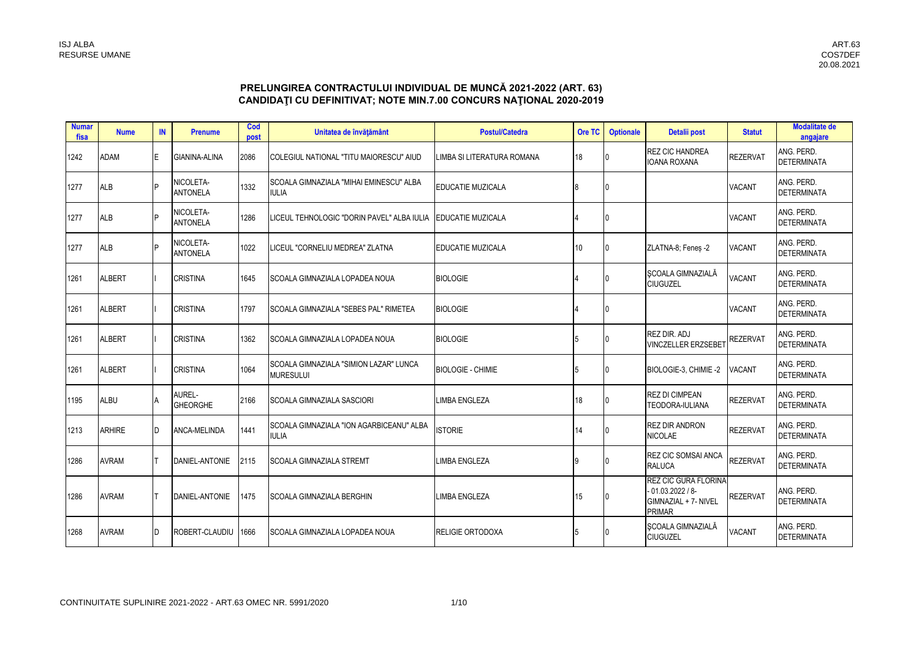# PRELUNGIREA CONTRACTULUI INDIVIDUAL DE MUNCĂ 2021-2022 (ART. 63)<br>CANDIDAȚI CU DEFINITIVAT; NOTE MIN.7.00 CONCURS NAȚIONAL 2020-2019

| <b>Numar</b><br>fisa | <b>Nume</b>   | <b>IN</b> | <b>Prenume</b>               | Cod<br>post | Unitatea de învățământ                                     | <b>Postul/Catedra</b>      | Ore TC | <b>Optionale</b> | Detalii post                                                                              | <b>Statut</b>   | <b>Modalitate de</b><br>angajare |
|----------------------|---------------|-----------|------------------------------|-------------|------------------------------------------------------------|----------------------------|--------|------------------|-------------------------------------------------------------------------------------------|-----------------|----------------------------------|
| 1242                 | <b>ADAM</b>   | F         | GIANINA-ALINA                | 2086        | COLEGIUL NATIONAL "TITU MAIORESCU" AIUD                    | LIMBA SI LITERATURA ROMANA | 18     |                  | <b>REZ CIC HANDREA</b><br><b>IOANA ROXANA</b>                                             | <b>REZERVAT</b> | ANG. PERD.<br><b>DETERMINATA</b> |
| 1277                 | <b>ALB</b>    | D         | NICOLETA-<br><b>ANTONELA</b> | 1332        | SCOALA GIMNAZIALA "MIHAI EMINESCU" ALBA<br><b>IULIA</b>    | EDUCATIE MUZICALA          |        | 0                |                                                                                           | <b>VACANT</b>   | ANG. PERD.<br><b>DETERMINATA</b> |
| 1277                 | <b>ALB</b>    | P         | NICOLETA-<br><b>ANTONELA</b> | 1286        | LICEUL TEHNOLOGIC "DORIN PAVEL" ALBA IULIA                 | EDUCATIE MUZICALA          |        |                  |                                                                                           | <b>VACANT</b>   | ANG. PERD.<br><b>DETERMINATA</b> |
| 1277                 | <b>ALB</b>    |           | NICOLETA-<br><b>ANTONELA</b> | 1022        | LICEUL "CORNELIU MEDREA" ZLATNA                            | <b>EDUCATIE MUZICALA</b>   | 10     | 0                | ZLATNA-8; Fenes -2                                                                        | <b>VACANT</b>   | ANG. PERD.<br><b>DETERMINATA</b> |
| 1261                 | <b>ALBERT</b> |           | <b>CRISTINA</b>              | 1645        | <b>ISCOALA GIMNAZIALA LOPADEA NOUA</b>                     | <b>BIOLOGIE</b>            |        |                  | SCOALA GIMNAZIALĂ<br><b>CIUGUZEL</b>                                                      | <b>VACANT</b>   | ANG. PERD.<br><b>DETERMINATA</b> |
| 1261                 | <b>ALBERT</b> |           | <b>CRISTINA</b>              | 1797        | <b>SCOALA GIMNAZIALA "SEBES PAL" RIMETEA</b>               | <b>BIOLOGIE</b>            |        |                  |                                                                                           | <b>VACANT</b>   | ANG. PERD.<br><b>DETERMINATA</b> |
| 1261                 | <b>ALBERT</b> |           | <b>CRISTINA</b>              | 1362        | SCOALA GIMNAZIALA LOPADEA NOUA                             | <b>BIOLOGIE</b>            |        |                  | REZ DIR. ADJ<br><b>VINCZELLER ERZSEBET</b>                                                | <b>REZERVAT</b> | ANG. PERD.<br><b>DETERMINATA</b> |
| 1261                 | <b>ALBERT</b> |           | <b>CRISTINA</b>              | 1064        | SCOALA GIMNAZIALA "SIMION LAZAR" LUNCA<br><b>MURESULUI</b> | <b>BIOLOGIE - CHIMIE</b>   | 5      | 0                | BIOLOGIE-3, CHIMIE-2                                                                      | <b>VACANT</b>   | ANG. PERD.<br><b>DETERMINATA</b> |
| 1195                 | <b>ALBU</b>   |           | AUREL-<br><b>GHEORGHE</b>    | 2166        | <b>SCOALA GIMNAZIALA SASCIORI</b>                          | <b>LIMBA ENGLEZA</b>       | 18     |                  | <b>REZ DI CIMPEAN</b><br>TEODORA-IULIANA                                                  | <b>REZERVAT</b> | ANG. PERD.<br><b>DETERMINATA</b> |
| 1213                 | <b>ARHIRE</b> | n.        | ANCA-MELINDA                 | 1441        | SCOALA GIMNAZIALA "ION AGARBICEANU" ALBA<br><b>IULIA</b>   | <b>ISTORIE</b>             | 14     |                  | <b>REZ DIR ANDRON</b><br><b>NICOLAE</b>                                                   | <b>REZERVAT</b> | ANG. PERD.<br><b>DETERMINATA</b> |
| 1286                 | <b>AVRAM</b>  |           | DANIEL-ANTONIE               | 2115        | <b>SCOALA GIMNAZIALA STREMT</b>                            | <b>LIMBA ENGLEZA</b>       | 9      |                  | <b>REZ CIC SOMSAI ANCA</b><br><b>RALUCA</b>                                               | <b>REZERVAT</b> | ANG. PERD.<br><b>DETERMINATA</b> |
| 1286                 | <b>AVRAM</b>  |           | DANIEL-ANTONIE               | 1475        | <b>SCOALA GIMNAZIALA BERGHIN</b>                           | <b>LIMBA ENGLEZA</b>       | 15     |                  | <b>REZ CIC GURA FLORINA</b><br>- 01.03.2022 / 8-<br>GIMNAZIAL + 7- NIVEL<br><b>PRIMAR</b> | <b>REZERVAT</b> | ANG. PERD.<br><b>DETERMINATA</b> |
| 1268                 | <b>AVRAM</b>  |           | ROBERT-CLAUDIU               | 1666        | <b>ISCOALA GIMNAZIALA LOPADEA NOUA</b>                     | <b>RELIGIE ORTODOXA</b>    |        |                  | SCOALA GIMNAZIALĂ<br><b>CIUGUZEL</b>                                                      | <b>VACANT</b>   | ANG. PERD.<br><b>DETERMINATA</b> |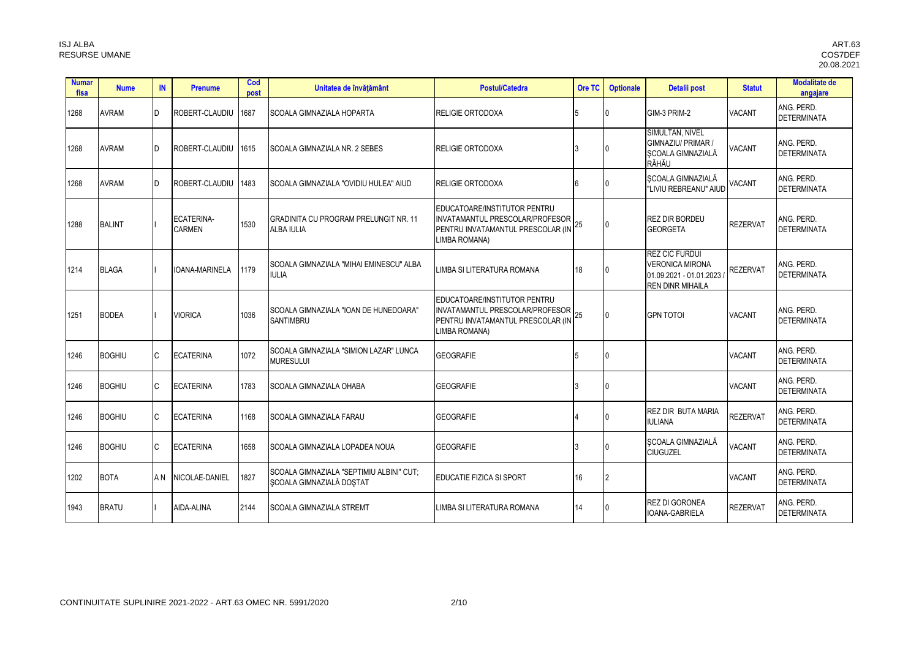| <b>Numar</b><br>fisa | <b>Nume</b>   | <b>IN</b>      | <b>Prenume</b>              | Cod<br>post | Unitatea de învățământ                                               | <b>Postul/Catedra</b>                                                                                                 | Ore TC | <b>Optionale</b> | Detalii post                                                                                          | <b>Statut</b>   | <b>Modalitate de</b><br>angajare |
|----------------------|---------------|----------------|-----------------------------|-------------|----------------------------------------------------------------------|-----------------------------------------------------------------------------------------------------------------------|--------|------------------|-------------------------------------------------------------------------------------------------------|-----------------|----------------------------------|
| 1268                 | <b>AVRAM</b>  | ID.            | ROBERT-CLAUDIU              | 1687        | SCOALA GIMNAZIALA HOPARTA                                            | <b>RELIGIE ORTODOXA</b>                                                                                               |        |                  | GIM-3 PRIM-2                                                                                          | <b>VACANT</b>   | ANG. PERD.<br><b>DETERMINATA</b> |
| 1268                 | <b>AVRAM</b>  | n.             | ROBERT-CLAUDIU              | 1615        | SCOALA GIMNAZIALA NR. 2 SEBES                                        | <b>RELIGIE ORTODOXA</b>                                                                                               |        |                  | SIMULTAN, NIVEL<br>GIMNAZIU/ PRIMAR /<br>SCOALA GIMNAZIALĂ<br>RĂHĂU                                   | <b>VACANT</b>   | ANG. PERD.<br><b>DETERMINATA</b> |
| 1268                 | <b>AVRAM</b>  | I <sub>D</sub> | ROBERT-CLAUDIU              | 1483        | SCOALA GIMNAZIALA "OVIDIU HULEA" AIUD                                | <b>RELIGIE ORTODOXA</b>                                                                                               |        |                  | SCOALA GIMNAZIALĂ<br>"LIVIU REBREANU" AIUD                                                            | <b>VACANT</b>   | ANG. PERD.<br><b>DETERMINATA</b> |
| 1288                 | <b>BALINT</b> |                | ECATERINA-<br><b>CARMEN</b> | 1530        | <b>GRADINITA CU PROGRAM PRELUNGIT NR. 11</b><br><b>ALBA IULIA</b>    | EDUCATOARE/INSTITUTOR PENTRU<br>INVATAMANTUL PRESCOLAR/PROFESOR<br>PENTRU INVATAMANTUL PRESCOLAR (IN<br>LIMBA ROMANA) | 25     | $\mathbf{0}$     | <b>REZ DIR BORDEU</b><br><b>GEORGETA</b>                                                              | <b>REZERVAT</b> | ANG. PERD.<br><b>DETERMINATA</b> |
| 1214                 | <b>BLAGA</b>  |                | <b>IOANA-MARINELA</b>       | 1179        | SCOALA GIMNAZIALA "MIHAI EMINESCU" ALBA<br><b>IULIA</b>              | LIMBA SI LITERATURA ROMANA                                                                                            | 18     |                  | <b>REZ CIC FURDUI</b><br><b>VERONICA MIRONA</b><br>01.09.2021 - 01.01.2023<br><b>REN DINR MIHAILA</b> | <b>REZERVAT</b> | ANG. PERD.<br><b>DETERMINATA</b> |
| 1251                 | <b>BODEA</b>  |                | <b>VIORICA</b>              | 1036        | SCOALA GIMNAZIALA "IOAN DE HUNEDOARA"<br><b>SANTIMBRU</b>            | EDUCATOARE/INSTITUTOR PENTRU<br>INVATAMANTUL PRESCOLAR/PROFESOR<br>PENTRU INVATAMANTUL PRESCOLAR (IN<br>LIMBA ROMANA) | 25     | $\mathbf{0}$     | <b>GPN TOTOI</b>                                                                                      | <b>VACANT</b>   | ANG. PERD.<br><b>DETERMINATA</b> |
| 1246                 | <b>BOGHIU</b> | C              | <b>ECATERINA</b>            | 1072        | SCOALA GIMNAZIALA "SIMION LAZAR" LUNCA<br><b>MURESULUI</b>           | <b>GEOGRAFIE</b>                                                                                                      |        |                  |                                                                                                       | <b>VACANT</b>   | ANG. PERD.<br><b>DETERMINATA</b> |
| 1246                 | <b>BOGHIU</b> | <b>C</b>       | <b>ECATERINA</b>            | 1783        | <b>SCOALA GIMNAZIALA OHABA</b>                                       | <b>GEOGRAFIE</b>                                                                                                      |        | 0                |                                                                                                       | <b>VACANT</b>   | ANG. PERD.<br><b>DETERMINATA</b> |
| 1246                 | <b>BOGHIU</b> | C.             | <b>ECATERINA</b>            | 1168        | <b>SCOALA GIMNAZIALA FARAU</b>                                       | <b>GEOGRAFIE</b>                                                                                                      |        |                  | REZ DIR BUTA MARIA<br><b>IULIANA</b>                                                                  | <b>REZERVAT</b> | ANG. PERD.<br><b>DETERMINATA</b> |
| 1246                 | <b>BOGHIU</b> |                | <b>ECATERINA</b>            | 1658        | <b>ISCOALA GIMNAZIALA LOPADEA NOUA</b>                               | <b>GEOGRAFIE</b>                                                                                                      |        |                  | SCOALA GIMNAZIALĂ<br><b>CIUGUZEL</b>                                                                  | <b>VACANT</b>   | ANG. PERD.<br><b>DETERMINATA</b> |
| 1202                 | <b>BOTA</b>   | A N            | NICOLAE-DANIEL              | 1827        | SCOALA GIMNAZIALA "SEPTIMIU ALBINI" CUT:<br>SCOALA GIMNAZIALĂ DOSTAT | EDUCATIE FIZICA SI SPORT                                                                                              | 16     | 2                |                                                                                                       | <b>VACANT</b>   | ANG. PERD.<br><b>DETERMINATA</b> |
| 1943                 | <b>BRATU</b>  |                | AIDA-ALINA                  | 2144        | <b>SCOALA GIMNAZIALA STREMT</b>                                      | LIMBA SI LITERATURA ROMANA                                                                                            | 14     |                  | <b>REZ DI GORONEA</b><br>IOANA-GABRIELA                                                               | <b>REZERVAT</b> | ANG. PERD.<br><b>DETERMINATA</b> |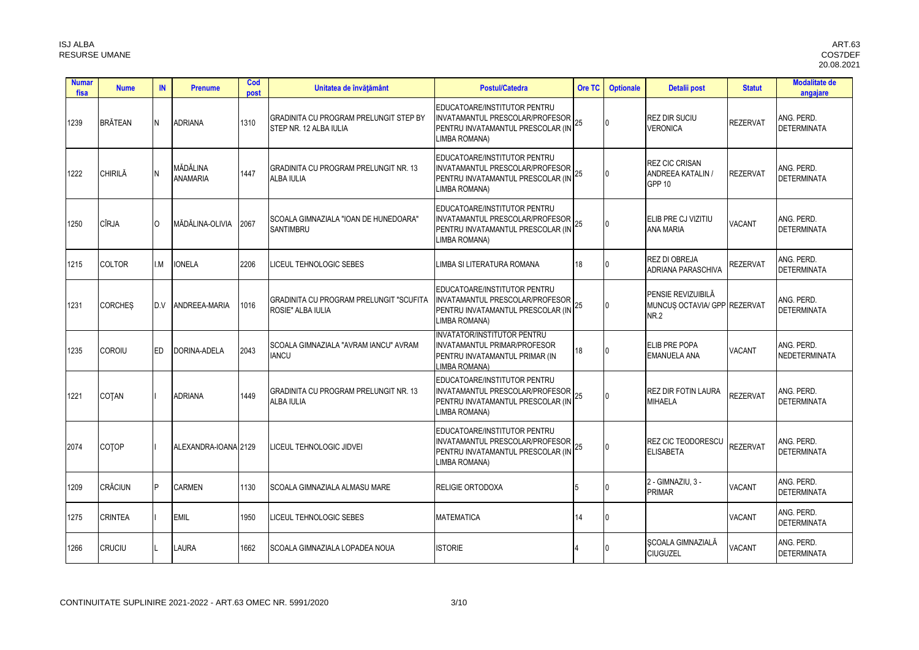| <b>Numar</b><br>fisa | <b>Nume</b>    | IN       | <b>Prenume</b>              | Cod<br>post | Unitatea de învățământ                                                  | <b>Postul/Catedra</b>                                                                                                    | Ore TC | <b>Optionale</b> | Detalii post                                                      | <b>Statut</b>   | <b>Modalitate de</b><br>angajare |
|----------------------|----------------|----------|-----------------------------|-------------|-------------------------------------------------------------------------|--------------------------------------------------------------------------------------------------------------------------|--------|------------------|-------------------------------------------------------------------|-----------------|----------------------------------|
| 1239                 | <b>BRĂTEAN</b> | N        | <b>ADRIANA</b>              | 1310        | <b>GRADINITA CU PROGRAM PRELUNGIT STEP BY</b><br>STEP NR. 12 ALBA IULIA | EDUCATOARE/INSTITUTOR PENTRU<br>INVATAMANTUL PRESCOLAR/PROFESOR<br>PENTRU INVATAMANTUL PRESCOLAR (IN 25<br>LIMBA ROMANA) |        |                  | <b>REZ DIR SUCIU</b><br><b>VERONICA</b>                           | <b>REZERVAT</b> | ANG. PERD.<br><b>DETERMINATA</b> |
| 1222                 | CHIRILĂ        |          | MĂDĂLINA<br><b>ANAMARIA</b> | 1447        | <b>GRADINITA CU PROGRAM PRELUNGIT NR. 13</b><br><b>ALBA IULIA</b>       | EDUCATOARE/INSTITUTOR PENTRU<br>INVATAMANTUL PRESCOLAR/PROFESOR<br>PENTRU INVATAMANTUL PRESCOLAR (IN<br>LIMBA ROMANA)    |        |                  | <b>REZ CIC CRISAN</b><br>ANDREEA KATALIN /<br>GPP <sub>10</sub>   | <b>REZERVAT</b> | ANG. PERD.<br><b>DETERMINATA</b> |
| 1250                 | <b>CÎRJA</b>   | $\Omega$ | MĂDĂLINA-OLIVIA             | 2067        | SCOALA GIMNAZIALA "IOAN DE HUNEDOARA"<br><b>SANTIMBRU</b>               | EDUCATOARE/INSTITUTOR PENTRU<br>INVATAMANTUL PRESCOLAR/PROFESOR<br>PENTRU INVATAMANTUL PRESCOLAR (IN<br>LIMBA ROMANA)    | 25     |                  | ELIB PRE CJ VIZITIU<br>ANA MARIA                                  | VACANT          | ANG. PERD.<br><b>DETERMINATA</b> |
| 1215                 | <b>COLTOR</b>  | I.M      | <b>IONELA</b>               | 2206        | LICEUL TEHNOLOGIC SEBES                                                 | LIMBA SI LITERATURA ROMANA                                                                                               | 18     |                  | <b>REZ DI OBREJA</b><br><b>ADRIANA PARASCHIVA</b>                 | <b>REZERVAT</b> | ANG. PERD.<br><b>DETERMINATA</b> |
| 1231                 | <b>CORCHES</b> | D.V      | ANDREEA-MARIA               | 1016        | <b>GRADINITA CU PROGRAM PRELUNGIT "SCUFITA</b><br>ROSIE" ALBA IULIA     | EDUCATOARE/INSTITUTOR PENTRU<br>INVATAMANTUL PRESCOLAR/PROFESOR<br>PENTRU INVATAMANTUL PRESCOLAR (IN<br>LIMBA ROMANA)    | 25     |                  | PENSIE REVIZUIBILĂ<br>MUNCUS OCTAVIA/ GPP REZERVAT<br><b>NR.2</b> |                 | ANG. PERD.<br><b>DETERMINATA</b> |
| 1235                 | COROIU         | ED.      | DORINA-ADELA                | 2043        | ISCOALA GIMNAZIALA "AVRAM IANCU" AVRAM<br><b>IANCU</b>                  | <b>INVATATOR/INSTITUTOR PENTRU</b><br>INVATAMANTUL PRIMAR/PROFESOR<br>PENTRU INVATAMANTUL PRIMAR (IN<br>LIMBA ROMANA)    | 18     |                  | ELIB PRE POPA<br><b>EMANUELA ANA</b>                              | <b>VACANT</b>   | ANG. PERD.<br>NEDETERMINATA      |
| 1221                 | <b>COTAN</b>   |          | <b>ADRIANA</b>              | 1449        | <b>GRADINITA CU PROGRAM PRELUNGIT NR. 13</b><br><b>ALBA IULIA</b>       | EDUCATOARE/INSTITUTOR PENTRU<br>INVATAMANTUL PRESCOLAR/PROFESOR<br>PENTRU INVATAMANTUL PRESCOLAR (IN<br>LIMBA ROMANA)    |        |                  | <b>REZ DIR FOTIN LAURA</b><br><b>MIHAELA</b>                      | <b>REZERVAT</b> | ANG. PERD.<br><b>DETERMINATA</b> |
| 2074                 | COTOP          |          | ALEXANDRA-IOANA 2129        |             | LICEUL TEHNOLOGIC JIDVEI                                                | EDUCATOARE/INSTITUTOR PENTRU<br>INVATAMANTUL PRESCOLAR/PROFESOR<br>PENTRU INVATAMANTUL PRESCOLAR (IN<br>LIMBA ROMANA)    | 25     |                  | <b>REZ CIC TEODORESCU</b><br><b>ELISABETA</b>                     | <b>REZERVAT</b> | ANG. PERD.<br><b>DETERMINATA</b> |
| 1209                 | <b>CRĂCIUN</b> |          | <b>CARMEN</b>               | 1130        | <b>SCOALA GIMNAZIALA ALMASU MARE</b>                                    | <b>RELIGIE ORTODOXA</b>                                                                                                  |        |                  | 2 - GIMNAZIU, 3 -<br><b>PRIMAR</b>                                | <b>VACANT</b>   | ANG. PERD.<br><b>DETERMINATA</b> |
| 1275                 | <b>CRINTEA</b> |          | <b>EMIL</b>                 | 1950        | LICEUL TEHNOLOGIC SEBES                                                 | <b>MATEMATICA</b>                                                                                                        | 14     |                  |                                                                   | VACANT          | ANG. PERD.<br><b>DETERMINATA</b> |
| 1266                 | <b>CRUCIU</b>  |          | LAURA                       | 1662        | SCOALA GIMNAZIALA LOPADEA NOUA                                          | <b>ISTORIE</b>                                                                                                           |        |                  | SCOALA GIMNAZIALĂ<br><b>CIUGUZEL</b>                              | VACANT          | ANG. PERD.<br><b>DETERMINATA</b> |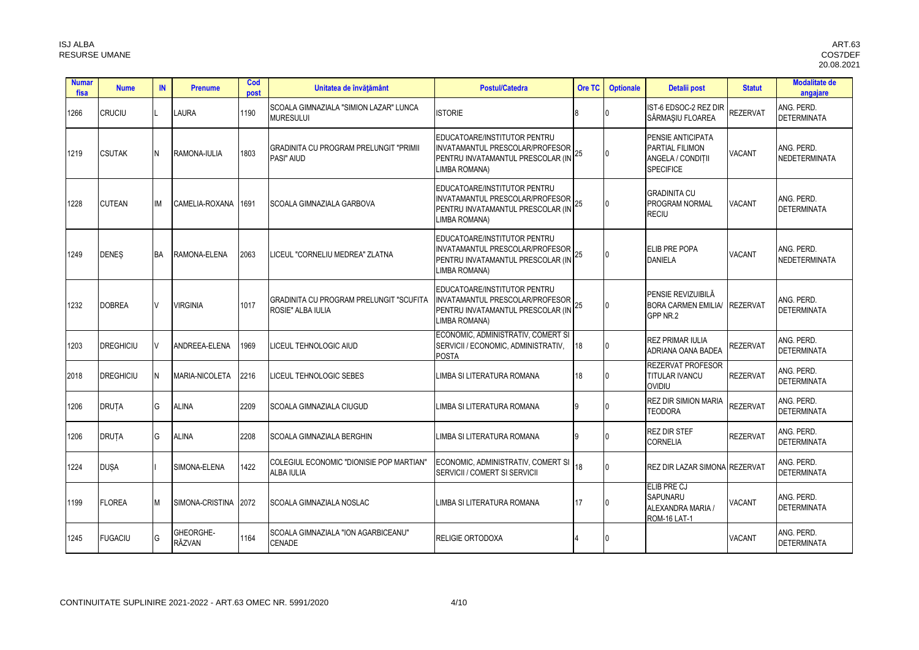| <b>Numar</b><br>fisa | <b>Nume</b>      | IN        | <b>Prenume</b>             | Cod<br>post | Unitatea de învățământ                                        | <b>Postul/Catedra</b>                                                                                                 | Ore TC | <b>Optionale</b> | Detalii post                                                                  | <b>Statut</b>   | <b>Modalitate de</b><br>angajare |
|----------------------|------------------|-----------|----------------------------|-------------|---------------------------------------------------------------|-----------------------------------------------------------------------------------------------------------------------|--------|------------------|-------------------------------------------------------------------------------|-----------------|----------------------------------|
| 1266                 | <b>CRUCIU</b>    |           | <b>LAURA</b>               | 1190        | SCOALA GIMNAZIALA "SIMION LAZAR" LUNCA<br><b>MURESULUI</b>    | <b>ISTORIE</b>                                                                                                        | 8      |                  | IST-6 EDSOC-2 REZ DIR<br>SĂRMAȘIU FLOAREA                                     | <b>REZERVAT</b> | ANG. PERD.<br><b>DETERMINATA</b> |
| 1219                 | <b>CSUTAK</b>    |           | RAMONA-IULIA               | 1803        | GRADINITA CU PROGRAM PRELUNGIT "PRIMII<br>PASI" AIUD          | EDUCATOARE/INSTITUTOR PENTRU<br>INVATAMANTUL PRESCOLAR/PROFESOR<br>PENTRU INVATAMANTUL PRESCOLAR (IN<br>LIMBA ROMANA) | 25     |                  | PENSIE ANTICIPATA<br>PARTIAL FILIMON<br>ANGELA / CONDITII<br><b>SPECIFICE</b> | VACANT          | ANG. PERD.<br>NEDETERMINATA      |
| 1228                 | <b>CUTEAN</b>    | IM        | CAMELIA-ROXANA             | 1691        | SCOALA GIMNAZIALA GARBOVA                                     | EDUCATOARE/INSTITUTOR PENTRU<br>INVATAMANTUL PRESCOLAR/PROFESOR<br>PENTRU INVATAMANTUL PRESCOLAR (IN<br>LIMBA ROMANA) |        |                  | <b>GRADINITA CU</b><br>PROGRAM NORMAL<br><b>RECIU</b>                         | <b>VACANT</b>   | ANG. PERD.<br><b>DETERMINATA</b> |
| 1249                 | <b>DENES</b>     | <b>BA</b> | RAMONA-ELENA               | 2063        | LICEUL "CORNELIU MEDREA" ZLATNA                               | EDUCATOARE/INSTITUTOR PENTRU<br>INVATAMANTUL PRESCOLAR/PROFESOR<br>PENTRU INVATAMANTUL PRESCOLAR (IN<br>LIMBA ROMANA) |        |                  | ELIB PRE POPA<br><b>DANIELA</b>                                               | <b>VACANT</b>   | ANG. PERD.<br>NEDETERMINATA      |
| 1232                 | <b>DOBREA</b>    |           | VIRGINIA                   | 1017        | GRADINITA CU PROGRAM PRELUNGIT "SCUFITA<br>ROSIE" ALBA IULIA  | EDUCATOARE/INSTITUTOR PENTRU<br>INVATAMANTUL PRESCOLAR/PROFESOR<br>PENTRU INVATAMANTUL PRESCOLAR (IN<br>LIMBA ROMANA) | 25     |                  | PENSIE REVIZUIBILĂ<br><b>BORA CARMEN EMILIA/</b><br>GPP NR.2                  | <b>REZERVAT</b> | ANG. PERD.<br><b>DETERMINATA</b> |
| 1203                 | <b>DREGHICIU</b> |           | ANDREEA-ELENA              | 1969        | LICEUL TEHNOLOGIC AIUD                                        | ECONOMIC, ADMINISTRATIV, COMERT SI<br>SERVICII / ECONOMIC, ADMINISTRATIV,<br><b>POSTA</b>                             | 18     |                  | <b>REZ PRIMAR IULIA</b><br>ADRIANA OANA BADEA                                 | <b>REZERVAT</b> | ANG. PERD.<br><b>DETERMINATA</b> |
| 2018                 | <b>DREGHICIU</b> |           | MARIA-NICOLETA             | 2216        | LICEUL TEHNOLOGIC SEBES                                       | LIMBA SI LITERATURA ROMANA                                                                                            | 18     |                  | <b>REZERVAT PROFESOR</b><br><b>TITULAR IVANCU</b><br><b>OVIDIU</b>            | <b>REZERVAT</b> | ANG. PERD.<br><b>DETERMINATA</b> |
| 1206                 | <b>DRUTA</b>     | G         | <b>ALINA</b>               | 2209        | SCOALA GIMNAZIALA CIUGUD                                      | LIMBA SI LITERATURA ROMANA                                                                                            | q      |                  | <b>REZ DIR SIMION MARIA</b><br><b>TEODORA</b>                                 | <b>REZERVAT</b> | ANG. PERD.<br><b>DETERMINATA</b> |
| 1206                 | <b>DRUTA</b>     | G         | <b>ALINA</b>               | 2208        | SCOALA GIMNAZIALA BERGHIN                                     | LIMBA SI LITERATURA ROMANA                                                                                            | q      |                  | <b>REZ DIR STEF</b><br><b>CORNELIA</b>                                        | <b>REZERVAT</b> | ANG. PERD.<br><b>DETERMINATA</b> |
| 1224                 | <b>DUSA</b>      |           | SIMONA-ELENA               | 1422        | COLEGIUL ECONOMIC "DIONISIE POP MARTIAN"<br><b>ALBA IULIA</b> | ECONOMIC, ADMINISTRATIV, COMERT SI<br>SERVICII / COMERT SI SERVICII                                                   | 18     |                  | <b>REZ DIR LAZAR SIMONA REZERVAT</b>                                          |                 | ANG. PERD.<br><b>DETERMINATA</b> |
| 1199                 | <b>FLOREA</b>    |           | SIMONA-CRISTINA 2072       |             | SCOALA GIMNAZIALA NOSLAC                                      | LIMBA SI LITERATURA ROMANA                                                                                            | 17     |                  | ELIB PRE CJ<br><b>SAPUNARU</b><br>ALEXANDRA MARIA /<br>ROM-16 LAT-1           | <b>VACANT</b>   | ANG. PERD.<br><b>DETERMINATA</b> |
| 1245                 | <b>FUGACIU</b>   | G         | <b>GHEORGHE-</b><br>RĂZVAN | 1164        | SCOALA GIMNAZIALA "ION AGARBICEANU"<br><b>CENADE</b>          | <b>RELIGIE ORTODOXA</b>                                                                                               |        |                  |                                                                               | <b>VACANT</b>   | ANG. PERD.<br><b>DETERMINATA</b> |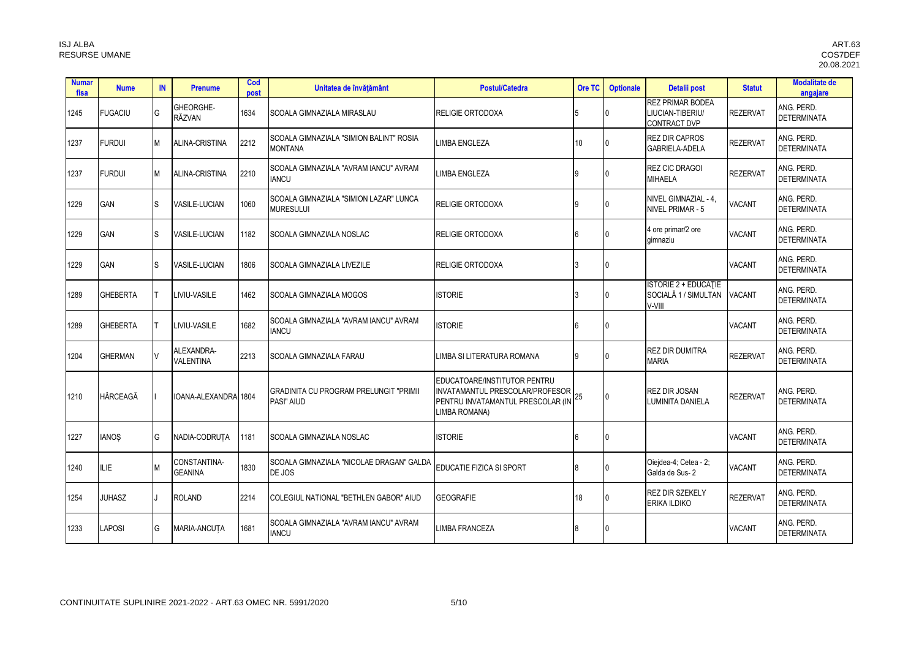| <b>Numar</b><br>fisa | <b>Nume</b>     | IN | <b>Prenume</b>                    | Cod<br>post | Unitatea de învățământ                                            | <b>Postul/Catedra</b>                                                                                                 | Ore TC          | <b>Optionale</b> | Detalii post                                                       | <b>Statut</b>   | <b>Modalitate de</b><br>angajare |
|----------------------|-----------------|----|-----------------------------------|-------------|-------------------------------------------------------------------|-----------------------------------------------------------------------------------------------------------------------|-----------------|------------------|--------------------------------------------------------------------|-----------------|----------------------------------|
| 1245                 | <b>FUGACIU</b>  | G  | <b>GHEORGHE-</b><br><b>RĂZVAN</b> | 1634        | <b>SCOALA GIMNAZIALA MIRASLAU</b>                                 | RELIGIE ORTODOXA                                                                                                      |                 |                  | <b>REZ PRIMAR BODEA</b><br>LIUCIAN-TIBERIU/<br><b>CONTRACT DVP</b> | <b>REZERVAT</b> | ANG. PERD.<br><b>DETERMINATA</b> |
| 1237                 | <b>FURDUI</b>   | М  | ALINA-CRISTINA                    | 2212        | SCOALA GIMNAZIALA "SIMION BALINT" ROSIA<br><b>MONTANA</b>         | LIMBA ENGLEZA                                                                                                         | 10 <sup>1</sup> |                  | <b>REZ DIR CAPROS</b><br><b>GABRIELA-ADELA</b>                     | REZERVAT        | ANG. PERD.<br><b>DETERMINATA</b> |
| 1237                 | <b>FURDUI</b>   | М  | ALINA-CRISTINA                    | 2210        | ISCOALA GIMNAZIALA "AVRAM IANCU" AVRAM<br><b>IANCU</b>            | LIMBA ENGLEZA                                                                                                         | q               |                  | <b>REZ CIC DRAGOI</b><br><b>MIHAELA</b>                            | <b>REZERVAT</b> | ANG. PERD.<br><b>DETERMINATA</b> |
| 1229                 | <b>GAN</b>      | S  | <b>VASILE-LUCIAN</b>              | 1060        | <b>SCOALA GIMNAZIALA "SIMION LAZAR" LUNCA</b><br><b>MURESULUI</b> | <b>RELIGIE ORTODOXA</b>                                                                                               | Q               |                  | NIVEL GIMNAZIAL - 4.<br>NIVEL PRIMAR - 5                           | <b>VACANT</b>   | ANG. PERD.<br><b>DETERMINATA</b> |
| 1229                 | <b>GAN</b>      | S  | <b>VASILE-LUCIAN</b>              | 1182        | <b>ISCOALA GIMNAZIALA NOSLAC</b>                                  | <b>RELIGIE ORTODOXA</b>                                                                                               |                 |                  | 4 ore primar/2 ore<br>gimnaziu                                     | <b>VACANT</b>   | ANG. PERD.<br><b>DETERMINATA</b> |
| 1229                 | GAN             | S  | <b>VASILE-LUCIAN</b>              | 1806        | <b>ISCOALA GIMNAZIALA LIVEZILE</b>                                | <b>RELIGIE ORTODOXA</b>                                                                                               |                 |                  |                                                                    | <b>VACANT</b>   | ANG. PERD.<br><b>DETERMINATA</b> |
| 1289                 | <b>GHEBERTA</b> |    | LIVIU-VASILE                      | 1462        | <b>ISCOALA GIMNAZIALA MOGOS</b>                                   | <b>ISTORIE</b>                                                                                                        |                 |                  | <b>ISTORIE 2 + EDUCATIE</b><br>SOCIALĂ 1 / SIMULTAN<br>V-VIII      | <b>VACANT</b>   | ANG. PERD.<br><b>DETERMINATA</b> |
| 1289                 | <b>GHEBERTA</b> |    | <b>LIVIU-VASILE</b>               | 1682        | <b>SCOALA GIMNAZIALA "AVRAM IANCU" AVRAM</b><br><b>IANCU</b>      | <b>ISTORIE</b>                                                                                                        |                 | 0                |                                                                    | <b>VACANT</b>   | ANG. PERD.<br><b>DETERMINATA</b> |
| 1204                 | <b>GHERMAN</b>  |    | ALEXANDRA-<br><b>VALENTINA</b>    | 2213        | <b>ISCOALA GIMNAZIALA FARAU</b>                                   | LIMBA SI LITERATURA ROMANA                                                                                            | Q               |                  | REZ DIR DUMITRA<br><b>MARIA</b>                                    | REZERVAT        | ANG. PERD.<br><b>DETERMINATA</b> |
| 1210                 | HÂRCEAGĂ        |    | IOANA-ALEXANDRA 1804              |             | <b>GRADINITA CU PROGRAM PRELUNGIT "PRIMII</b><br>PASI" AIUD       | EDUCATOARE/INSTITUTOR PENTRU<br>INVATAMANTUL PRESCOLAR/PROFESOR<br>PENTRU INVATAMANTUL PRESCOLAR (IN<br>LIMBA ROMANA) |                 | $\Omega$         | <b>REZ DIR JOSAN</b><br>LUMINITA DANIELA                           | <b>REZERVAT</b> | ANG. PERD.<br><b>DETERMINATA</b> |
| 1227                 | <b>IANOS</b>    | G  | NADIA-CODRUTA                     | 1181        | <b>ISCOALA GIMNAZIALA NOSLAC</b>                                  | <b>ISTORIE</b>                                                                                                        |                 | 0                |                                                                    | <b>VACANT</b>   | ANG. PERD.<br><b>DETERMINATA</b> |
| 1240                 | LIE.            |    | CONSTANTINA-<br><b>GEANINA</b>    | 1830        | ISCOALA GIMNAZIALA "NICOLAE DRAGAN" GALDA<br>DE JOS               | EDUCATIE FIZICA SI SPORT                                                                                              |                 |                  | Oiejdea-4; Cetea - 2;<br>Galda de Sus-2                            | <b>VACANT</b>   | ANG. PERD.<br><b>DETERMINATA</b> |
| 1254                 | <b>JUHASZ</b>   |    | <b>ROLAND</b>                     | 2214        | COLEGIUL NATIONAL "BETHLEN GABOR" AIUD                            | <b>GEOGRAFIE</b>                                                                                                      | 18              |                  | <b>REZ DIR SZEKELY</b><br>ERIKA ILDIKO                             | <b>REZERVAT</b> | ANG. PERD.<br><b>DETERMINATA</b> |
| 1233                 | APOSI           | G  | <b>MARIA-ANCUTA</b>               | 1681        | SCOALA GIMNAZIALA "AVRAM IANCU" AVRAM<br><b>IANCU</b>             | <b>LIMBA FRANCEZA</b>                                                                                                 |                 |                  |                                                                    | <b>VACANT</b>   | ANG. PERD.<br><b>DETERMINATA</b> |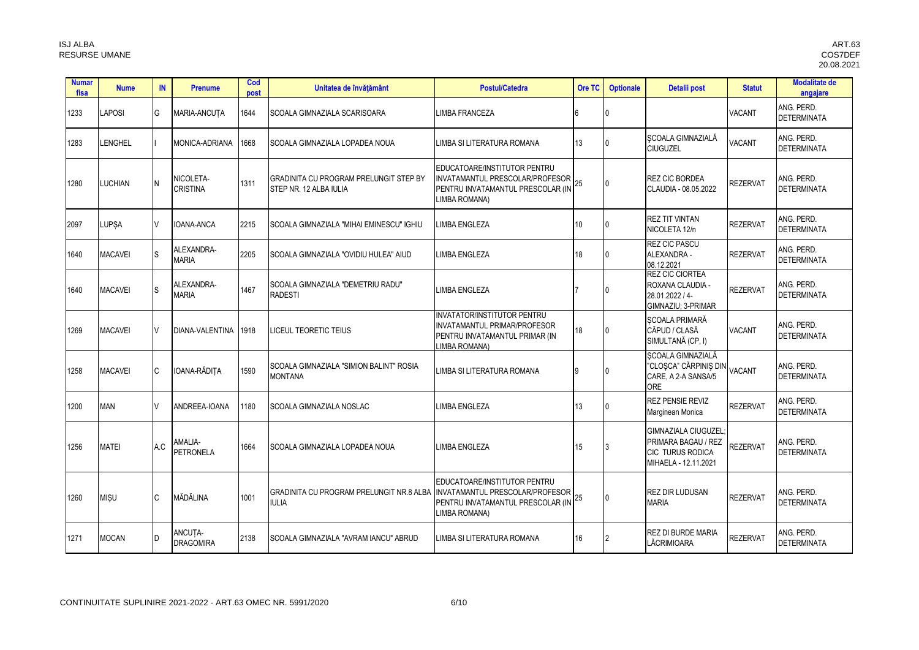| <b>Numar</b><br>fisa | <b>Nume</b>    | IN           | <b>Prenume</b>               | Cod<br>post | Unitatea de învățământ                                                  | <b>Postul/Catedra</b>                                                                                                 | Ore TC | <b>Optionale</b> | Detalii post                                                                                         | <b>Statut</b>   | <b>Modalitate de</b><br>angajare |
|----------------------|----------------|--------------|------------------------------|-------------|-------------------------------------------------------------------------|-----------------------------------------------------------------------------------------------------------------------|--------|------------------|------------------------------------------------------------------------------------------------------|-----------------|----------------------------------|
| 1233                 | <b>APOSI</b>   | G            | <b>MARIA-ANCUTA</b>          | 1644        | ISCOALA GIMNAZIALA SCARISOARA                                           | LIMBA FRANCEZA                                                                                                        |        |                  |                                                                                                      | <b>VACANT</b>   | ANG. PERD.<br><b>DETERMINATA</b> |
| 1283                 | <b>ENGHEL</b>  |              | MONICA-ADRIANA               | 1668        | ISCOALA GIMNAZIALA LOPADEA NOUA                                         | LIMBA SI LITERATURA ROMANA                                                                                            | 13     | ın               | SCOALA GIMNAZIALĂ<br><b>CIUGUZEL</b>                                                                 | <b>VACANT</b>   | ANG. PERD.<br><b>DETERMINATA</b> |
| 1280                 | LUCHIAN.       | N            | NICOLETA-<br><b>CRISTINA</b> | 1311        | <b>GRADINITA CU PROGRAM PRELUNGIT STEP BY</b><br>STEP NR. 12 ALBA IULIA | EDUCATOARE/INSTITUTOR PENTRU<br>INVATAMANTUL PRESCOLAR/PROFESOR<br>PENTRU INVATAMANTUL PRESCOLAR (IN<br>LIMBA ROMANA) | 25     | $\Omega$         | <b>REZ CIC BORDEA</b><br>CLAUDIA - 08.05.2022                                                        | <b>REZERVAT</b> | ANG. PERD.<br><b>DETERMINATA</b> |
| 2097                 | <b>LUPSA</b>   |              | IOANA-ANCA                   | 2215        | ISCOALA GIMNAZIALA "MIHAI EMINESCU" IGHIU                               | <b>LIMBA ENGLEZA</b>                                                                                                  | 10     |                  | <b>REZ TIT VINTAN</b><br>NICOLETA 12/n                                                               | <b>REZERVAT</b> | ANG. PERD.<br><b>DETERMINATA</b> |
| 1640                 | <b>MACAVEI</b> | S            | ALEXANDRA-<br><b>MARIA</b>   | 2205        | ISCOALA GIMNAZIALA "OVIDIU HULEA" AIUD                                  | <b>LIMBA ENGLEZA</b>                                                                                                  | 18     | l N              | <b>REZ CIC PASCU</b><br>ALEXANDRA -<br>08.12.2021                                                    | <b>REZERVAT</b> | ANG. PERD.<br><b>DETERMINATA</b> |
| 1640                 | <b>MACAVEI</b> | <sub>S</sub> | ALEXANDRA-<br><b>MARIA</b>   | 1467        | ISCOALA GIMNAZIALA "DEMETRIU RADU"<br><b>RADESTI</b>                    | LIMBA ENGLEZA                                                                                                         |        |                  | <b>REZ CIC CIORTEA</b><br>ROXANA CLAUDIA -<br>28.01.2022 / 4-<br>GIMNAZIU: 3-PRIMAR                  | <b>REZERVAT</b> | ANG. PERD.<br><b>DETERMINATA</b> |
| 1269                 | <b>MACAVEI</b> |              | DIANA-VALENTINA              | 1918        | <b>LICEUL TEORETIC TEIUS</b>                                            | <b>INVATATOR/INSTITUTOR PENTRU</b><br>INVATAMANTUL PRIMAR/PROFESOR<br>PENTRU INVATAMANTUL PRIMAR (IN<br>LIMBA ROMANA) | 18     |                  | <b>SCOALA PRIMARĂ</b><br>CĂPUD / CLASĂ<br>SIMULTANĂ (CP, I)                                          | <b>VACANT</b>   | ANG. PERD.<br><b>DETERMINATA</b> |
| 1258                 | <b>MACAVEI</b> | C            | IOANA-RĂDITA                 | 1590        | ISCOALA GIMNAZIALA "SIMION BALINT" ROSIA<br><b>MONTANA</b>              | LIMBA SI LITERATURA ROMANA                                                                                            | 9      |                  | <b>ŞCOALA GIMNAZIALĂ</b><br>"CLOȘCA" CĂRPINIȘ DIN VACANT<br>CARE, A 2-A SANSA/5<br>ORF               |                 | ANG. PERD.<br><b>DETERMINATA</b> |
| 1200                 | <b>MAN</b>     |              | ANDREEA-IOANA                | 1180        | <b>ISCOALA GIMNAZIALA NOSLAC</b>                                        | LIMBA ENGLEZA                                                                                                         | 13     |                  | <b>REZ PENSIE REVIZ</b><br>Marginean Monica                                                          | <b>REZERVAT</b> | ANG. PERD.<br><b>DETERMINATA</b> |
| 1256                 | <b>MATEI</b>   | A.C          | AMALIA-<br><b>PETRONELA</b>  | 1664        | <b>SCOALA GIMNAZIALA LOPADEA NOUA</b>                                   | <b>LIMBA ENGLEZA</b>                                                                                                  | 15     |                  | <b>GIMNAZIALA CIUGUZEL</b><br>PRIMARA BAGAU / REZ<br><b>CIC TURUS RODICA</b><br>MIHAELA - 12.11.2021 | <b>REZERVAT</b> | ANG. PERD.<br><b>DETERMINATA</b> |
| 1260                 | <b>MISU</b>    | C            | MĂDĂLINA                     | 1001        | GRADINITA CU PROGRAM PRELUNGIT NR.8 ALBA<br><b>IULIA</b>                | EDUCATOARE/INSTITUTOR PENTRU<br>INVATAMANTUL PRESCOLAR/PROFESOR<br>PENTRU INVATAMANTUL PRESCOLAR (IN<br>LIMBA ROMANA) | 25     |                  | <b>REZ DIR LUDUSAN</b><br><b>MARIA</b>                                                               | <b>REZERVAT</b> | ANG. PERD.<br><b>DETERMINATA</b> |
| 1271                 | <b>MOCAN</b>   | D            | ANCUTA-<br><b>DRAGOMIRA</b>  | 2138        | SCOALA GIMNAZIALA "AVRAM IANCU" ABRUD                                   | LIMBA SI LITERATURA ROMANA                                                                                            | 16     |                  | REZ DI BURDE MARIA<br>LĂCRIMIOARA                                                                    | <b>REZERVAT</b> | ANG. PERD.<br><b>DETERMINATA</b> |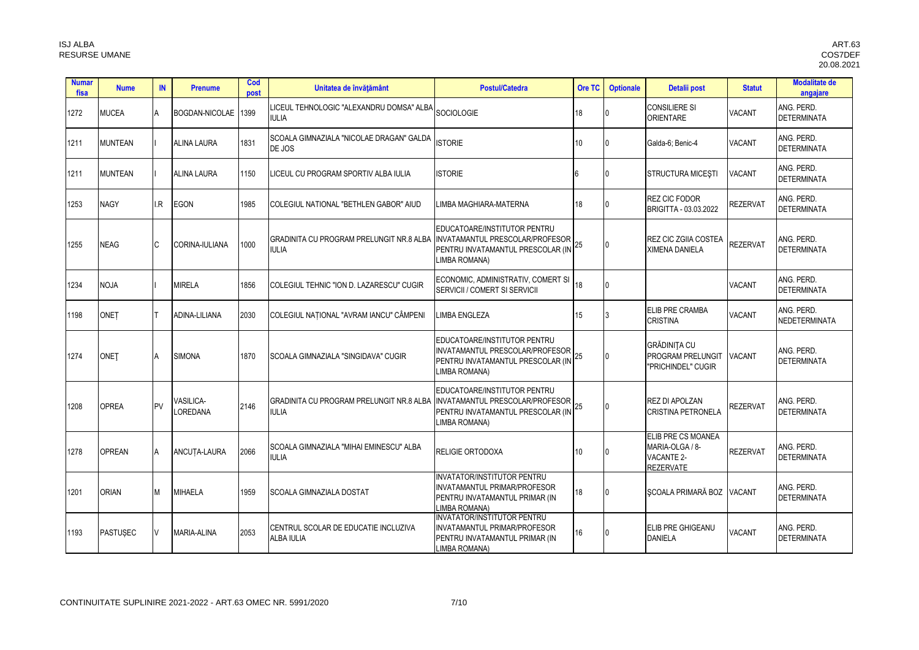| <b>Numar</b><br>fisa | <b>Nume</b>     | IN        | <b>Prenume</b>               | Cod<br>post | Unitatea de învățământ                                                                     | <b>Postul/Catedra</b>                                                                                                  | Ore TC           | <b>Optionale</b> | Detalii post                                                                   | <b>Statut</b>   | <b>Modalitate de</b><br>angajare   |
|----------------------|-----------------|-----------|------------------------------|-------------|--------------------------------------------------------------------------------------------|------------------------------------------------------------------------------------------------------------------------|------------------|------------------|--------------------------------------------------------------------------------|-----------------|------------------------------------|
| 1272                 | <b>MUCEA</b>    | A         | BOGDAN-NICOLAE 1399          |             | LICEUL TEHNOLOGIC "ALEXANDRU DOMSA" ALBA<br><b>IULIA</b>                                   | SOCIOLOGIE                                                                                                             | 18               | n                | <b>CONSILIERE SI</b><br><b>ORIENTARE</b>                                       | <b>VACANT</b>   | ANG. PERD.<br><b>DETERMINATA</b>   |
| 1211                 | <b>MUNTEAN</b>  |           | <b>ALINA LAURA</b>           | 1831        | SCOALA GIMNAZIALA "NICOLAE DRAGAN" GALDA<br>DE JOS                                         | <b>ISTORIE</b>                                                                                                         | 10               | $\mathbf{0}$     | Galda-6; Benic-4                                                               | <b>VACANT</b>   | ANG. PERD.<br><b>DETERMINATA</b>   |
| 1211                 | <b>MUNTEAN</b>  |           | <b>ALINA LAURA</b>           | 1150        | ICEUL CU PROGRAM SPORTIV ALBA IULIA                                                        | <b>ISTORIE</b>                                                                                                         |                  | 0                | <b>STRUCTURA MICESTI</b>                                                       | <b>VACANT</b>   | ANG. PERD.<br><b>DETERMINATA</b>   |
| 1253                 | <b>NAGY</b>     | I.R       | <b>EGON</b>                  | 1985        | COLEGIUL NATIONAL "BETHLEN GABOR" AIUD                                                     | LIMBA MAGHIARA-MATERNA                                                                                                 | 18               |                  | <b>REZ CIC FODOR</b><br>BRIGITTA - 03.03.2022                                  | <b>REZERVAT</b> | ANG. PERD.<br><b>DETERMINATA</b>   |
| 1255                 | <b>NEAG</b>     | <b>C</b>  | CORINA-IULIANA               | 1000        | GRADINITA CU PROGRAM PRELUNGIT NR.8 ALBA   INVATAMANTUL PRESCOLAR/PROFESOR<br><b>IULIA</b> | EDUCATOARE/INSTITUTOR PENTRU<br>PENTRU INVATAMANTUL PRESCOLAR (IN<br>LIMBA ROMANA)                                     | 25               | $\mathbf{0}$     | <b>REZ CIC ZGIIA COSTEA</b><br><b>XIMENA DANIELA</b>                           | <b>REZERVAT</b> | ANG. PERD.<br><b>DETERMINATA</b>   |
| 1234                 | <b>NOJA</b>     |           | <b>MIRELA</b>                | 1856        | COLEGIUL TEHNIC "ION D. LAZARESCU" CUGIR                                                   | ECONOMIC, ADMINISTRATIV, COMERT SI<br>SERVICII / COMERT SI SERVICII                                                    | 18               | $\Omega$         |                                                                                | <b>VACANT</b>   | ANG. PERD.<br><b>DETERMINATA</b>   |
| 1198                 | <b>ONET</b>     |           | ADINA-LILIANA                | 2030        | COLEGIUL NATIONAL "AVRAM IANCU" CÂMPENI                                                    | LIMBA ENGLEZA                                                                                                          | 15               | 3                | <b>ELIB PRE CRAMBA</b><br><b>CRISTINA</b>                                      | <b>VACANT</b>   | ANG. PERD.<br><b>NEDETERMINATA</b> |
| 1274                 | <b>ONET</b>     | <b>A</b>  | <b>SIMONA</b>                | 1870        | SCOALA GIMNAZIALA "SINGIDAVA" CUGIR                                                        | EDUCATOARE/INSTITUTOR PENTRU<br>INVATAMANTUL PRESCOLAR/PROFESOR<br>PENTRU INVATAMANTUL PRESCOLAR (IN<br>LIMBA ROMANA)  | 25               | $\Omega$         | <b>GRĂDINITA CU</b><br><b>PROGRAM PRELUNGIT</b><br>"PRICHINDEL" CUGIR          | <b>VACANT</b>   | ANG. PERD.<br><b>DETERMINATA</b>   |
| 1208                 | <b>OPREA</b>    | <b>PV</b> | <b>/ASILICA-</b><br>LOREDANA | 2146        | GRADINITA CU PROGRAM PRELUNGIT NR.8 ALBA<br><b>IULIA</b>                                   | EDUCATOARE/INSTITUTOR PENTRU<br>INVATAMANTUL PRESCOLAR/PROFESOR<br>PENTRU INVATAMANTUL PRESCOLAR (IN<br>LIMBA ROMANA)  | 25               | $\Omega$         | <b>REZ DI APOLZAN</b><br><b>CRISTINA PETRONELA</b>                             | <b>REZERVAT</b> | ANG. PERD.<br><b>DETERMINATA</b>   |
| 1278                 | <b>OPREAN</b>   | A         | ANCUTA-LAURA                 | 2066        | SCOALA GIMNAZIALA "MIHAI EMINESCU" ALBA<br><b>IULIA</b>                                    | <b>RELIGIE ORTODOXA</b>                                                                                                | 10 <sup>10</sup> |                  | ELIB PRE CS MOANEA<br>MARIA-OLGA / 8-<br><b>VACANTE 2-</b><br><b>REZERVATE</b> | <b>REZERVAT</b> | ANG. PERD.<br><b>DETERMINATA</b>   |
| 1201                 | <b>ORIAN</b>    | M         | <b>MIHAELA</b>               | 1959        | SCOALA GIMNAZIALA DOSTAT                                                                   | <b>INVATATOR/INSTITUTOR PENTRU</b><br>INVATAMANTUL PRIMAR/PROFESOR<br>PENTRU INVATAMANTUL PRIMAR (IN<br>LIMBA ROMANA)  | 18               | <sup>0</sup>     | SCOALA PRIMARĂ BOZ                                                             | <b>VACANT</b>   | ANG. PERD.<br><b>DETERMINATA</b>   |
| 1193                 | <b>PASTUSEC</b> | IV.       | <b>MARIA-ALINA</b>           | 2053        | CENTRUL SCOLAR DE EDUCATIE INCLUZIVA<br>ALBA IULIA                                         | <b>INVATATOR/INSTITUTOR PENTRU</b><br>INVATAMANTUL PRIMAR/PROFESOR<br>PENTRU INVATAMANTUL PRIMAR (IN<br>I IMBA ROMANA) | 16               |                  | ELIB PRE GHIGEANU<br><b>DANIELA</b>                                            | <b>VACANT</b>   | ANG. PERD.<br><b>DETERMINATA</b>   |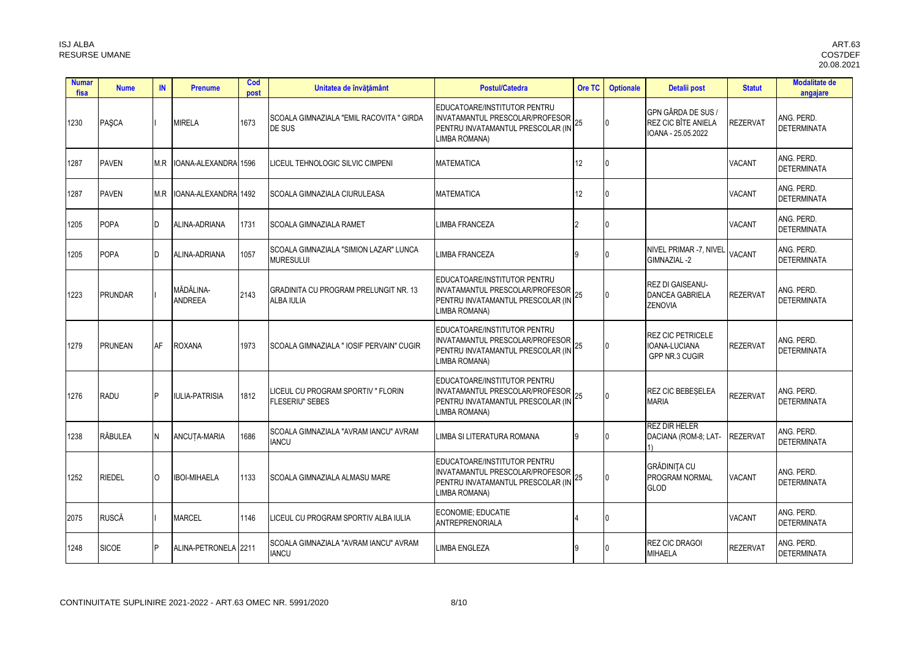| <b>Numar</b><br>fisa | <b>Nume</b>    | IN       | <b>Prenume</b>              | Cod<br>post | Unitatea de învățământ                                       | <b>Postul/Catedra</b>                                                                                                 | Ore TC   | <b>Optionale</b> | Detalii post                                                        | <b>Statut</b>   | <b>Modalitate de</b><br>angajare |
|----------------------|----------------|----------|-----------------------------|-------------|--------------------------------------------------------------|-----------------------------------------------------------------------------------------------------------------------|----------|------------------|---------------------------------------------------------------------|-----------------|----------------------------------|
| 1230                 | PASCA          |          | <b>MIRELA</b>               | 1673        | SCOALA GIMNAZIALA "EMIL RACOVITA " GIRDA<br>DE SUS           | EDUCATOARE/INSTITUTOR PENTRU<br>INVATAMANTUL PRESCOLAR/PROFESOR<br>PENTRU INVATAMANTUL PRESCOLAR (IN<br>LIMBA ROMANA) | 25       | $\overline{0}$   | GPN GÂRDA DE SUS /<br>REZ CIC BÎTE ANIELA<br>IOANA - 25.05.2022     | <b>REZERVAT</b> | ANG. PERD.<br><b>DETERMINATA</b> |
| 1287                 | <b>PAVEN</b>   | M.R      | IOANA-ALEXANDRA 1596        |             | LICEUL TEHNOLOGIC SILVIC CIMPENI                             | <b>MATEMATICA</b>                                                                                                     | 12       | 0                |                                                                     | <b>VACANT</b>   | ANG. PERD.<br><b>DETERMINATA</b> |
| 1287                 | <b>PAVEN</b>   | M R      | OANA-ALEXANDRA 1492         |             | SCOALA GIMNAZIALA CIURULEASA                                 | <b>MATEMATICA</b>                                                                                                     | 12       | U                |                                                                     | <b>VACANT</b>   | ANG. PERD.<br><b>DETERMINATA</b> |
| 1205                 | <b>POPA</b>    | ID.      | ALINA-ADRIANA               | 1731        | <b>SCOALA GIMNAZIALA RAMET</b>                               | <b>LIMBA FRANCEZA</b>                                                                                                 |          | U                |                                                                     | <b>VACANT</b>   | ANG. PERD.<br><b>DETERMINATA</b> |
| 1205                 | POPA           | n.       | ALINA-ADRIANA               | 1057        | SCOALA GIMNAZIALA "SIMION LAZAR" LUNCA<br><b>MURESULUI</b>   | <b>LIMBA FRANCEZA</b>                                                                                                 | <b>q</b> |                  | NIVEL PRIMAR -7, NIVEL<br>GIMNAZIAL -2                              | <b>VACANT</b>   | ANG. PERD.<br><b>DETERMINATA</b> |
| 1223                 | <b>PRUNDAR</b> |          | MĂDĂLINA-<br><b>ANDREEA</b> | 2143        | GRADINITA CU PROGRAM PRELUNGIT NR. 13<br><b>ALBA IULIA</b>   | EDUCATOARE/INSTITUTOR PENTRU<br>INVATAMANTUL PRESCOLAR/PROFESOR<br>PENTRU INVATAMANTUL PRESCOLAR (IN<br>LIMBA ROMANA) | 25       | $\Omega$         | <b>REZ DI GAISEANU-</b><br><b>DANCEA GABRIELA</b><br><b>ZENOVIA</b> | <b>REZERVAT</b> | ANG. PERD.<br><b>DETERMINATA</b> |
| 1279                 | <b>PRUNEAN</b> | AF       | <b>ROXANA</b>               | 1973        | SCOALA GIMNAZIALA " IOSIF PERVAIN" CUGIR                     | EDUCATOARE/INSTITUTOR PENTRU<br>INVATAMANTUL PRESCOLAR/PROFESOR<br>PENTRU INVATAMANTUL PRESCOLAR (IN<br>LIMBA ROMANA) | 25       | $\mathbf{0}$     | REZ CIC PETRICELE<br>IOANA-LUCIANA<br>GPP NR.3 CUGIR                | <b>REZERVAT</b> | ANG. PERD.<br><b>DETERMINATA</b> |
| 1276                 | RADU           | P        | <b>IULIA-PATRISIA</b>       | 1812        | LICEUL CU PROGRAM SPORTIV " FLORIN<br><b>FLESERIU" SEBES</b> | EDUCATOARE/INSTITUTOR PENTRU<br>INVATAMANTUL PRESCOLAR/PROFESOR<br>PENTRU INVATAMANTUL PRESCOLAR (IN<br>LIMBA ROMANA) | 25       | $\Omega$         | REZ CIC BEBESELEA<br><b>MARIA</b>                                   | <b>REZERVAT</b> | ANG. PERD.<br><b>DETERMINATA</b> |
| 1238                 | RĂBULEA        | N        | ANCUTA-MARIA                | 1686        | SCOALA GIMNAZIALA "AVRAM IANCU" AVRAM<br><b>IANCU</b>        | LIMBA SI LITERATURA ROMANA                                                                                            | 9        |                  | <b>REZ DIR HELER</b><br>DACIANA (ROM-8: LAT-<br>1)                  | <b>REZERVAT</b> | ANG. PERD.<br><b>DETERMINATA</b> |
| 1252                 | RIEDEL         | $\Omega$ | <b>IBOI-MIHAELA</b>         | 1133        | <b>SCOALA GIMNAZIALA ALMASU MARE</b>                         | EDUCATOARE/INSTITUTOR PENTRU<br>INVATAMANTUL PRESCOLAR/PROFESOR<br>PENTRU INVATAMANTUL PRESCOLAR (IN<br>LIMBA ROMANA) | 25       | $\Omega$         | <b>GRĂDINITA CU</b><br>PROGRAM NORMAL<br><b>GLOD</b>                | <b>VACANT</b>   | ANG. PERD.<br><b>DETERMINATA</b> |
| 2075                 | <b>RUSCĂ</b>   |          | MARCEL                      | 1146        | LICEUL CU PROGRAM SPORTIV ALBA IULIA                         | ECONOMIE: EDUCATIE<br>ANTREPRENORIALA                                                                                 |          | 0                |                                                                     | <b>VACANT</b>   | ANG. PERD.<br><b>DETERMINATA</b> |
| 1248                 | <b>SICOE</b>   | P        | ALINA-PETRONELA 2211        |             | SCOALA GIMNAZIALA "AVRAM IANCU" AVRAM<br><b>IANCU</b>        | <b>LIMBA ENGLEZA</b>                                                                                                  | q        |                  | <b>REZ CIC DRAGOI</b><br><b>MIHAELA</b>                             | <b>REZERVAT</b> | ang. Perd.<br><b>DETERMINATA</b> |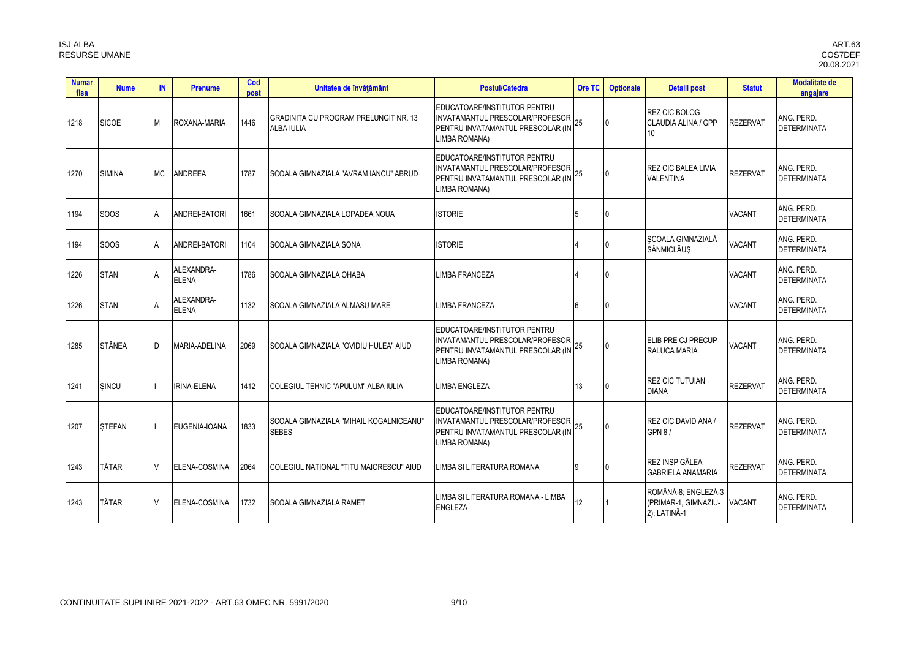| <b>Numar</b><br>fisa | <b>Nume</b>   | IN        | <b>Prenume</b>             | Cod<br>post | Unitatea de învățământ                                            | <b>Postul/Catedra</b>                                                                                                 | Ore TC | <b>Optionale</b> | Detalii post                                                | <b>Statut</b>   | <b>Modalitate de</b><br>angajare |
|----------------------|---------------|-----------|----------------------------|-------------|-------------------------------------------------------------------|-----------------------------------------------------------------------------------------------------------------------|--------|------------------|-------------------------------------------------------------|-----------------|----------------------------------|
| 1218                 | <b>SICOE</b>  | М         | ROXANA-MARIA               | 1446        | <b>GRADINITA CU PROGRAM PRELUNGIT NR. 13</b><br><b>ALBA IULIA</b> | EDUCATOARE/INSTITUTOR PENTRU<br>INVATAMANTUL PRESCOLAR/PROFESOR<br>PENTRU INVATAMANTUL PRESCOLAR (IN<br>LIMBA ROMANA) | 25     | $\overline{0}$   | <b>REZ CIC BOLOG</b><br>CLAUDIA ALINA / GPP<br>10           | <b>REZERVAT</b> | ANG. PERD.<br><b>DETERMINATA</b> |
| 1270                 | <b>SIMINA</b> | <b>MC</b> | <b>ANDREEA</b>             | 1787        | <b>SCOALA GIMNAZIALA "AVRAM IANCU" ABRUD</b>                      | EDUCATOARE/INSTITUTOR PENTRU<br>INVATAMANTUL PRESCOLAR/PROFESOR<br>PENTRU INVATAMANTUL PRESCOLAR (IN<br>LIMBA ROMANA) | 25     | 0                | <b>REZ CIC BALEA LIVIA</b><br><b>VALENTINA</b>              | <b>REZERVAT</b> | ANG. PERD.<br><b>DETERMINATA</b> |
| 1194                 | <b>SOOS</b>   | A         | ANDREI-BATORI              | 1661        | SCOALA GIMNAZIALA LOPADEA NOUA                                    | <b>ISTORIE</b>                                                                                                        | 5      |                  |                                                             | <b>VACANT</b>   | ANG. PERD.<br><b>DETERMINATA</b> |
| 1194                 | <b>SOOS</b>   | ΙA        | ANDREI-BATORI              | 1104        | <b>SCOALA GIMNAZIALA SONA</b>                                     | <b>ISTORIE</b>                                                                                                        |        | 0                | SCOALA GIMNAZIALĂ<br><b>SÂNMICLĂUS</b>                      | <b>VACANT</b>   | ANG. PERD.<br><b>DETERMINATA</b> |
| 1226                 | <b>STAN</b>   | A         | ALEXANDRA-<br><b>ELENA</b> | 1786        | <b>SCOALA GIMNAZIALA OHABA</b>                                    | <b>LIMBA FRANCEZA</b>                                                                                                 |        | 0                |                                                             | <b>VACANT</b>   | ANG. PERD.<br><b>DETERMINATA</b> |
| 1226                 | <b>STAN</b>   | <b>A</b>  | ALEXANDRA-<br><b>ELENA</b> | 1132        | <b>SCOALA GIMNAZIALA ALMASU MARE</b>                              | <b>LIMBA FRANCEZA</b>                                                                                                 | 6      | 0                |                                                             | <b>VACANT</b>   | ANG. PERD.<br><b>DETERMINATA</b> |
| 1285                 | <b>STÂNEA</b> | D         | MARIA-ADELINA              | 2069        | SCOALA GIMNAZIALA "OVIDIU HULEA" AIUD                             | EDUCATOARE/INSTITUTOR PENTRU<br>INVATAMANTUL PRESCOLAR/PROFESOR<br>PENTRU INVATAMANTUL PRESCOLAR (IN<br>LIMBA ROMANA) | 25     |                  | ELIB PRE CJ PRECUP<br>RALUCA MARIA                          | <b>VACANT</b>   | ANG. PERD.<br><b>DETERMINATA</b> |
| 1241                 | SINCU         |           | <b>IRINA-ELENA</b>         | 1412        | COLEGIUL TEHNIC "APULUM" ALBA IULIA                               | <b>LIMBA ENGLEZA</b>                                                                                                  | 13     |                  | <b>REZ CIC TUTUIAN</b><br><b>DIANA</b>                      | <b>REZERVAT</b> | ANG. PERD.<br><b>DETERMINATA</b> |
| 1207                 | <b>STEFAN</b> |           | EUGENIA-IOANA              | 1833        | <b>SCOALA GIMNAZIALA "MIHAIL KOGALNICEANU"</b><br><b>SEBES</b>    | EDUCATOARE/INSTITUTOR PENTRU<br>INVATAMANTUL PRESCOLAR/PROFESOR<br>PENTRU INVATAMANTUL PRESCOLAR (IN<br>LIMBA ROMANA) | 25     | $\Omega$         | REZ CIC DAVID ANA /<br><b>GPN 8/</b>                        | <b>REZERVAT</b> | ANG. PERD.<br><b>DETERMINATA</b> |
| 1243                 | <b>TĂTAR</b>  |           | <b>ELENA-COSMINA</b>       | 2064        | COLEGIUL NATIONAL "TITU MAIORESCU" AIUD                           | LIMBA SI LITERATURA ROMANA                                                                                            | 9      |                  | <b>REZ INSP GÂLEA</b><br><b>GABRIELA ANAMARIA</b>           | <b>REZERVAT</b> | ANG. PERD.<br><b>DETERMINATA</b> |
| 1243                 | <b>TĂTAR</b>  |           | ELENA-COSMINA              | 1732        | <b>SCOALA GIMNAZIALA RAMET</b>                                    | LIMBA SI LITERATURA ROMANA - LIMBA<br><b>ENGLEZA</b>                                                                  | 12     |                  | ROMÂNĂ-8: ENGLEZĂ-3<br>(PRIMAR-1, GIMNAZIU-<br>2); LATINĂ-1 | <b>VACANT</b>   | ANG. PERD.<br><b>DETERMINATA</b> |